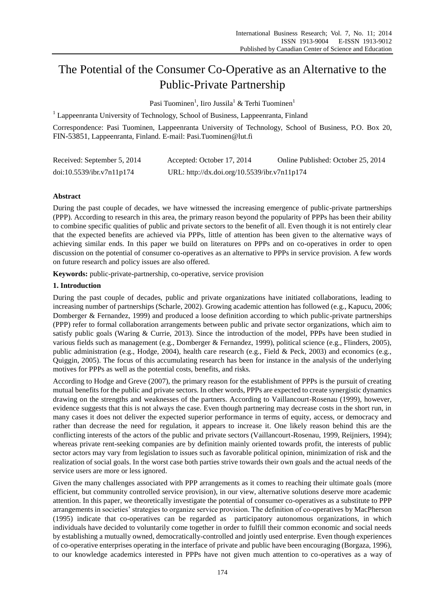# The Potential of the Consumer Co-Operative as an Alternative to the Public-Private Partnership

Pasi Tuominen<sup>1</sup>, Iiro Jussila<sup>1</sup> & Terhi Tuominen<sup>1</sup>

 $1$  Lappeenranta University of Technology, School of Business, Lappeenranta, Finland

Correspondence: Pasi Tuominen, Lappeenranta University of Technology, School of Business, P.O. Box 20, FIN-53851, Lappeenranta, Finland. E-mail: Pasi.Tuominen@lut.fi

| Received: September 5, 2014 | Accepted: October 17, 2014                   | Online Published: October 25, 2014 |
|-----------------------------|----------------------------------------------|------------------------------------|
| doi:10.5539/ibr.v7n11p174   | URL: http://dx.doi.org/10.5539/ibr.v7n11p174 |                                    |

# **Abstract**

During the past couple of decades, we have witnessed the increasing emergence of public-private partnerships (PPP). According to research in this area, the primary reason beyond the popularity of PPPs has been their ability to combine specific qualities of public and private sectors to the benefit of all. Even though it is not entirely clear that the expected benefits are achieved via PPPs, little of attention has been given to the alternative ways of achieving similar ends. In this paper we build on literatures on PPPs and on co-operatives in order to open discussion on the potential of consumer co-operatives as an alternative to PPPs in service provision. A few words on future research and policy issues are also offered.

**Keywords:** public-private-partnership, co-operative, service provision

# **1. Introduction**

During the past couple of decades, public and private organizations have initiated collaborations, leading to increasing number of partnerships (Scharle, 2002). Growing academic attention has followed (e.g., Kapucu, 2006; Domberger & Fernandez, 1999) and produced a loose definition according to which public-private partnerships (PPP) refer to formal collaboration arrangements between public and private sector organizations, which aim to satisfy public goals (Waring & Currie, 2013). Since the introduction of the model, PPPs have been studied in various fields such as management (e.g., Domberger & Fernandez, 1999), political science (e.g., Flinders, 2005), public administration (e.g., Hodge, 2004), health care research (e.g., Field & Peck, 2003) and economics (e.g., Quiggin, 2005). The focus of this accumulating research has been for instance in the analysis of the underlying motives for PPPs as well as the potential costs, benefits, and risks.

According to Hodge and Greve (2007), the primary reason for the establishment of PPPs is the pursuit of creating mutual benefits for the public and private sectors. In other words, PPPs are expected to create synergistic dynamics drawing on the strengths and weaknesses of the partners. According to Vaillancourt-Rosenau (1999), however, evidence suggests that this is not always the case. Even though partnering may decrease costs in the short run, in many cases it does not deliver the expected superior performance in terms of equity, access, or democracy and rather than decrease the need for regulation, it appears to increase it. One likely reason behind this are the conflicting interests of the actors of the public and private sectors (Vaillancourt-Rosenau, 1999, Reijniers, 1994); whereas private rent-seeking companies are by definition mainly oriented towards profit, the interests of public sector actors may vary from legislation to issues such as favorable political opinion, minimization of risk and the realization of social goals. In the worst case both parties strive towards their own goals and the actual needs of the service users are more or less ignored.

Given the many challenges associated with PPP arrangements as it comes to reaching their ultimate goals (more efficient, but community controlled service provision), in our view, alternative solutions deserve more academic attention. In this paper, we theoretically investigate the potential of consumer co-operatives as a substitute to PPP arrangements in societies' strategies to organize service provision. The definition of co-operatives by MacPherson (1995) indicate that co-operatives can be regarded as participatory autonomous organizations, in which individuals have decided to voluntarily come together in order to fulfill their common economic and social needs by establishing a mutually owned, democratically-controlled and jointly used enterprise. Even though experiences of co-operative enterprises operating in the interface of private and public have been encouraging (Borgaza, 1996), to our knowledge academics interested in PPPs have not given much attention to co-operatives as a way of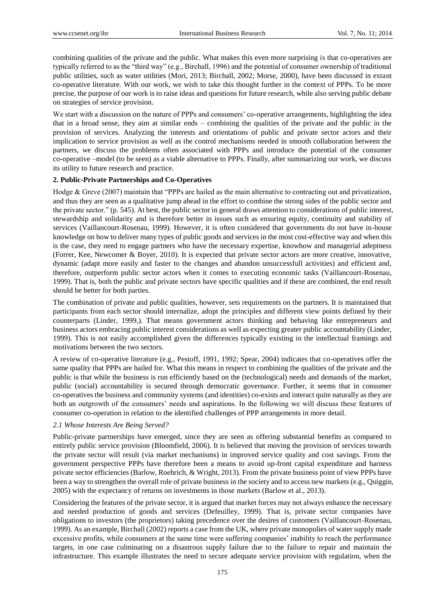combining qualities of the private and the public. What makes this even more surprising is that co-operatives are typically referred to as the "third way" (e.g., Birchall, 1996) and the potential of consumer ownership of traditional public utilities, such as water utilities (Mori, 2013; Birchall, 2002; Morse, 2000), have been discussed in extant co-operative literature. With our work, we wish to take this thought further in the context of PPPs. To be more precise, the purpose of our work is to raise ideas and questions for future research, while also serving public debate on strategies of service provision.

We start with a discussion on the nature of PPPs and consumers' co-operative arrangements, highlighting the idea that in a broad sense, they aim at similar ends – combining the qualities of the private and the public in the provision of services. Analyzing the interests and orientations of public and private sector actors and their implication to service provision as well as the control mechanisms needed in smooth collaboration between the partners, we discuss the problems often associated with PPPs and introduce the potential of the consumer co-operative –model (to be seen) as a viable alternative to PPPs. Finally, after summarizing our work, we discuss its utility to future research and practice.

## **2. Public-Private Partnerships and Co-Operatives**

Hodge & Greve (2007) maintain that "PPPs are hailed as the main alternative to contracting out and privatization, and thus they are seen as a qualitative jump ahead in the effort to combine the strong sides of the public sector and the private sector." (p. 545). At best, the public sector in general draws attention to considerations of public interest, stewardship and solidarity and is therefore better in issues such as ensuring equity, continuity and stability of services (Vaillancourt-Rosenau, 1999). However, it is often considered that governments do not have in-house knowledge on how to deliver many types of public goods and services in the most cost-effective way and when this is the case, they need to engage partners who have the necessary expertise, knowhow and managerial adeptness (Forrer, Kee, Newcomer & Boyer, 2010). It is expected that private sector actors are more creative, innovative, dynamic (adapt more easily and faster to the changes and abandon unsuccessfull activities) and efficient and, therefore, outperform public sector actors when it comes to executing economic tasks (Vaillancourt-Rosenau, 1999). That is, both the public and private sectors have specific qualities and if these are combined, the end result should be better for both parties.

The combination of private and public qualities, however, sets requirements on the partners. It is maintained that participants from each sector should internalize, adopt the principles and different view points defined by their counterparts (Linder, 1999,). That means government actors thinking and behaving like entrepreneurs and business actors embracing public interest considerations as well as expecting greater public accountability (Linder, 1999). This is not easily accomplished given the differences typically existing in the intellectual framings and motivations between the two sectors.

A review of co-operative literature (e.g., Pestoff, 1991, 1992; Spear, 2004) indicates that co-operatives offer the same quality that PPPs are hailed for. What this means in respect to combining the qualities of the private and the public is that while the business is run efficiently based on the (technological) needs and demands of the market, public (social) accountability is secured through democratic governance. Further, it seems that in consumer co-operatives the business and community systems (and identities) co-exists and interact quite naturally as they are both an outgrowth of the consumers' needs and aspirations. In the following we will discuss these features of consumer co-operation in relation to the identified challenges of PPP arrangements in more detail.

### *2.1 Whose Interests Are Being Served?*

Public-private partnerships have emerged, since they are seen as offering substantial benefits as compared to entirely public service provision (Bloomfield, 2006). It is believed that moving the provision of services towards the private sector will result (via market mechanisms) in improved service quality and cost savings. From the government perspective PPPs have therefore been a means to avoid up-front capital expenditure and harness private sector efficiencies (Barlow, Roehrich, & Wright, 2013). From the private business point of view PPPs have been a way to strengthen the overall role of private business in the society and to access new markets (e.g., Quiggin, 2005) with the expectancy of returns on investments in those markets (Barlow et al., 2013).

Considering the features of the private sector, it is argued that market forces may not always enhance the necessary and needed production of goods and services (Defeuilley, 1999). That is, private sector companies have obligations to investors (the proprietors) taking precedence over the desires of customers (Vaillancourt-Rosenau, 1999). As an example, Birchall (2002) reports a case from the UK, where private monopolies of water supply made excessive profits, while consumers at the same time were suffering companies' inability to reach the performance targets, in one case culminating on a disastrous supply failure due to the failure to repair and maintain the infrastructure. This example illustrates the need to secure adequate service provision with regulation, when the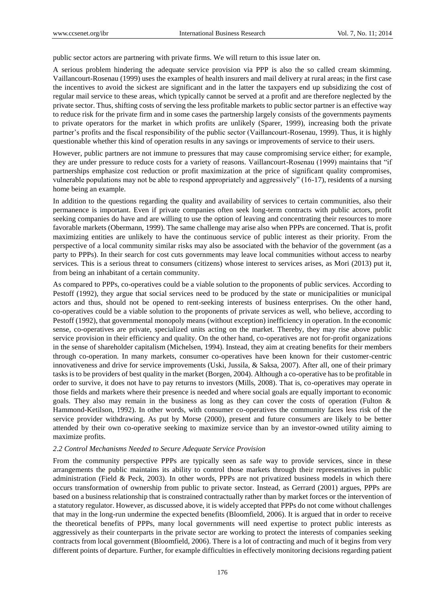public sector actors are partnering with private firms. We will return to this issue later on.

A serious problem hindering the adequate service provision via PPP is also the so called cream skimming. Vaillancourt-Rosenau (1999) uses the examples of health insurers and mail delivery at rural areas; in the first case the incentives to avoid the sickest are significant and in the latter the taxpayers end up subsidizing the cost of regular mail service to these areas, which typically cannot be served at a profit and are therefore neglected by the private sector. Thus, shifting costs of serving the less profitable markets to public sector partner is an effective way to reduce risk for the private firm and in some cases the partnership largely consists of the governments payments to private operators for the market in which profits are unlikely (Sparer, 1999), increasing both the private partner's profits and the fiscal responsibility of the public sector (Vaillancourt-Rosenau, 1999). Thus, it is highly questionable whether this kind of operation results in any savings or improvements of service to their users.

However, public partners are not immune to pressures that may cause compromising service either; for example, they are under pressure to reduce costs for a variety of reasons. Vaillancourt-Rosenau (1999) maintains that "if partnerships emphasize cost reduction or profit maximization at the price of significant quality compromises, vulnerable populations may not be able to respond appropriately and aggressively" (16-17), residents of a nursing home being an example.

In addition to the questions regarding the quality and availability of services to certain communities, also their permanence is important. Even if private companies often seek long-term contracts with public actors, profit seeking companies do have and are willing to use the option of leaving and concentrating their resources to more favorable markets (Obermann, 1999). The same challenge may arise also when PPPs are concerned. That is, profit maximizing entities are unlikely to have the continuous service of public interest as their priority. From the perspective of a local community similar risks may also be associated with the behavior of the government (as a party to PPPs). In their search for cost cuts governments may leave local communities without access to nearby services. This is a serious threat to consumers (citizens) whose interest to services arises, as Mori (2013) put it, from being an inhabitant of a certain community.

As compared to PPPs, co-operatives could be a viable solution to the proponents of public services. According to Pestoff (1992), they argue that social services need to be produced by the state or municipalities or municipal actors and thus, should not be opened to rent-seeking interests of business enterprises. On the other hand, co-operatives could be a viable solution to the proponents of private services as well, who believe, according to Pestoff (1992), that governmental monopoly means (without exception) inefficiency in operation. In the economic sense, co-operatives are private, specialized units acting on the market. Thereby, they may rise above public service provision in their efficiency and quality. On the other hand, co-operatives are not for-profit organizations in the sense of shareholder capitalism (Michelsen, 1994). Instead, they aim at creating benefits for their members through co-operation. In many markets, consumer co-operatives have been known for their customer-centric innovativeness and drive for service improvements (Uski, Jussila, & Saksa, 2007). After all, one of their primary tasks is to be providers of best quality in the market (Borgen, 2004). Although a co-operative has to be profitable in order to survive, it does not have to pay returns to investors (Mills, 2008). That is, co-operatives may operate in those fields and markets where their presence is needed and where social goals are equally important to economic goals. They also may remain in the business as long as they can cover the costs of operation (Fulton & Hammond-Ketilson, 1992). In other words, with consumer co-operatives the community faces less risk of the service provider withdrawing. As put by Morse (2000), present and future consumers are likely to be better attended by their own co-operative seeking to maximize service than by an investor-owned utility aiming to maximize profits.

#### *2.2 Control Mechanisms Needed to Secure Adequate Service Provision*

From the community perspective PPPs are typically seen as safe way to provide services, since in these arrangements the public maintains its ability to control those markets through their representatives in public administration (Field & Peck, 2003). In other words, PPPs are not privatized business models in which there occurs transformation of ownership from public to private sector. Instead, as Gerrard (2001) argues, PPPs are based on a business relationship that is constrained contractually rather than by market forces or the intervention of a statutory regulator. However, as discussed above, it is widely accepted that PPPs do not come without challenges that may in the long-run undermine the expected benefits (Bloomfield, 2006). It is argued that in order to receive the theoretical benefits of PPPs, many local governments will need expertise to protect public interests as aggressively as their counterparts in the private sector are working to protect the interests of companies seeking contracts from local government (Bloomfield, 2006). There is a lot of contracting and much of it begins from very different points of departure. Further, for example difficulties in effectively monitoring decisions regarding patient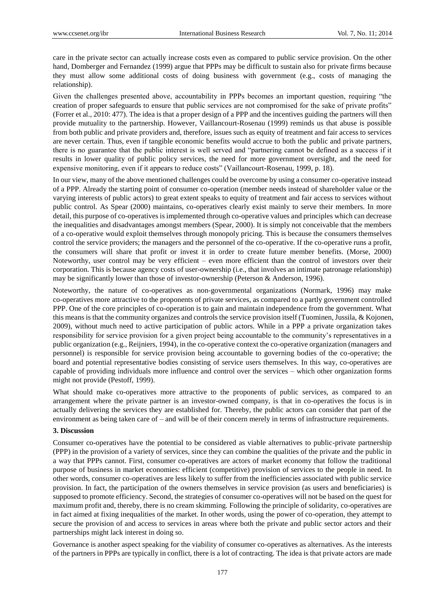care in the private sector can actually increase costs even as compared to public service provision. On the other hand, Domberger and Fernandez (1999) argue that PPPs may be difficult to sustain also for private firms because they must allow some additional costs of doing business with government (e.g., costs of managing the relationship).

Given the challenges presented above, accountability in PPPs becomes an important question, requiring "the creation of proper safeguards to ensure that public services are not compromised for the sake of private profits" (Forrer et al., 2010: 477). The idea is that a proper design of a PPP and the incentives guiding the partners will then provide mutuality to the partnership. However, Vaillancourt-Rosenau (1999) reminds us that abuse is possible from both public and private providers and, therefore, issues such as equity of treatment and fair access to services are never certain. Thus, even if tangible economic benefits would accrue to both the public and private partners, there is no guarantee that the public interest is well served and "partnering cannot be defined as a success if it results in lower quality of public policy services, the need for more government oversight, and the need for expensive monitoring, even if it appears to reduce costs" (Vaillancourt-Rosenau, 1999, p. 18).

In our view, many of the above mentioned challenges could be overcome by using a consumer co-operative instead of a PPP. Already the starting point of consumer co-operation (member needs instead of shareholder value or the varying interests of public actors) to great extent speaks to equity of treatment and fair access to services without public control. As Spear (2000) maintains, co-operatives clearly exist mainly to serve their members. In more detail, this purpose of co-operatives is implemented through co-operative values and principles which can decrease the inequalities and disadvantages amongst members (Spear, 2000). It is simply not conceivable that the members of a co-operative would exploit themselves through monopoly pricing. This is because the consumers themselves control the service providers; the managers and the personnel of the co-operative. If the co-operative runs a profit, the consumers will share that profit or invest it in order to create future member benefits. (Morse, 2000) Noteworthy, user control may be very efficient – even more efficient than the control of investors over their corporation. This is because agency costs of user-ownership (i.e., that involves an intimate patronage relationship) may be significantly lower than those of investor-ownership (Peterson & Anderson, 1996).

Noteworthy, the nature of co-operatives as non-governmental organizations (Normark, 1996) may make co-operatives more attractive to the proponents of private services, as compared to a partly government controlled PPP. One of the core principles of co-operation is to gain and maintain independence from the government. What this means is that the community organizes and controls the service provision itself (Tuominen, Jussila, & Kojonen, 2009), without much need to active participation of public actors. While in a PPP a private organization takes responsibility for service provision for a given project being accountable to the community's representatives in a public organization (e.g., Reijniers, 1994), in the co-operative context the co-operative organization (managers and personnel) is responsible for service provision being accountable to governing bodies of the co-operative; the board and potential representative bodies consisting of service users themselves. In this way, co-operatives are capable of providing individuals more influence and control over the services – which other organization forms might not provide (Pestoff, 1999).

What should make co-operatives more attractive to the proponents of public services, as compared to an arrangement where the private partner is an investor-owned company, is that in co-operatives the focus is in actually delivering the services they are established for. Thereby, the public actors can consider that part of the environment as being taken care of – and will be of their concern merely in terms of infrastructure requirements.

#### **3. Discussion**

Consumer co-operatives have the potential to be considered as viable alternatives to public-private partnership (PPP) in the provision of a variety of services, since they can combine the qualities of the private and the public in a way that PPPs cannot. First, consumer co-operatives are actors of market economy that follow the traditional purpose of business in market economies: efficient (competitive) provision of services to the people in need. In other words, consumer co-operatives are less likely to suffer from the inefficiencies associated with public service provision. In fact, the participation of the owners themselves in service provision (as users and beneficiaries) is supposed to promote efficiency. Second, the strategies of consumer co-operatives will not be based on the quest for maximum profit and, thereby, there is no cream skimming. Following the principle of solidarity, co-operatives are in fact aimed at fixing inequalities of the market. In other words, using the power of co-operation, they attempt to secure the provision of and access to services in areas where both the private and public sector actors and their partnerships might lack interest in doing so.

Governance is another aspect speaking for the viability of consumer co-operatives as alternatives. As the interests of the partners in PPPs are typically in conflict, there is a lot of contracting. The idea is that private actors are made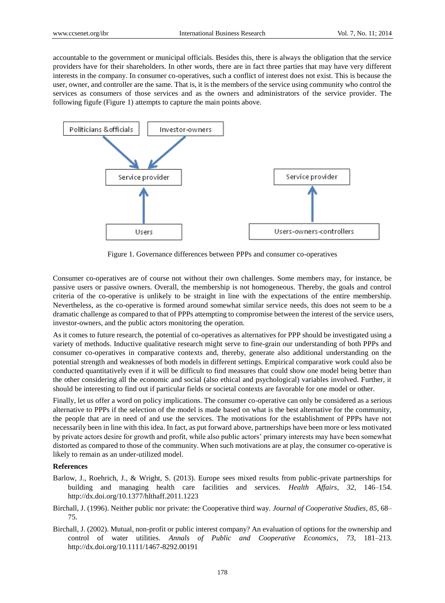accountable to the government or municipal officials. Besides this, there is always the obligation that the service providers have for their shareholders. In other words, there are in fact three parties that may have very different interests in the company. In consumer co-operatives, such a conflict of interest does not exist. This is because the user, owner, and controller are the same. That is, it is the members of the service using community who control the services as consumers of those services and as the owners and administrators of the service provider. The following figufe (Figure 1) attempts to capture the main points above.



Figure 1. Governance differences between PPPs and consumer co-operatives

Consumer co-operatives are of course not without their own challenges. Some members may, for instance, be passive users or passive owners. Overall, the membership is not homogeneous. Thereby, the goals and control criteria of the co-operative is unlikely to be straight in line with the expectations of the entire membership. Nevertheless, as the co-operative is formed around somewhat similar service needs, this does not seem to be a dramatic challenge as compared to that of PPPs attempting to compromise between the interest of the service users, investor-owners, and the public actors monitoring the operation.

As it comes to future research, the potential of co-operatives as alternatives for PPP should be investigated using a variety of methods. Inductive qualitative research might serve to fine-grain our understanding of both PPPs and consumer co-operatives in comparative contexts and, thereby, generate also additional understanding on the potential strength and weaknesses of both models in different settings. Empirical comparative work could also be conducted quantitatively even if it will be difficult to find measures that could show one model being better than the other considering all the economic and social (also ethical and psychological) variables involved. Further, it should be interesting to find out if particular fields or societal contexts are favorable for one model or other.

Finally, let us offer a word on policy implications. The consumer co-operative can only be considered as a serious alternative to PPPs if the selection of the model is made based on what is the best alternative for the community, the people that are in need of and use the services. The motivations for the establishment of PPPs have not necessarily been in line with this idea. In fact, as put forward above, partnerships have been more or less motivated by private actors desire for growth and profit, while also public actors' primary interests may have been somewhat distorted as compared to those of the community. When such motivations are at play, the consumer co-operative is likely to remain as an under-utilized model.

#### **References**

- Barlow, J., Roehrich, J., & Wright, S. (2013). Europe sees mixed results from public-private partnerships for building and managing health care facilities and services. *Health Affairs*, *32*, 146–154. http://dx.doi.org/10.1377/hlthaff.2011.1223
- Birchall, J. (1996). Neither public nor private: the Cooperative third way. *Journal of Cooperative Studies*, *85*, 68– 75.
- Birchall, J. (2002). Mutual, non-profit or public interest company? An evaluation of options for the ownership and control of water utilities. *Annals of Public and Cooperative Economics*, *73*, 181–213. http://dx.doi.org/10.1111/1467-8292.00191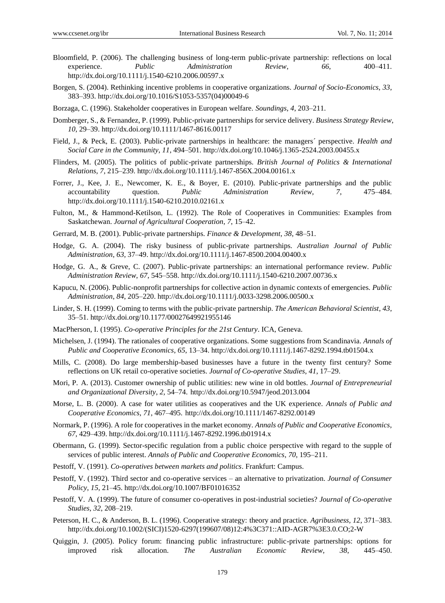- Bloomfield, P. (2006). The challenging business of long-term public-private partnership: reflections on local experience. *Public Administration Review*, *66*, 400–411. http://dx.doi.org/10.1111/j.1540-6210.2006.00597.x
- Borgen, S. (2004). Rethinking incentive problems in cooperative organizations. *Journal of Socio-Economics*, *33*, 383–393. http://dx.doi.org/10.1016/S1053-5357(04)00049-6
- Borzaga, C. (1996). Stakeholder cooperatives in European welfare. *Soundings*, *4*, 203–211.
- Domberger, S., & Fernandez, P. (1999). Public-private partnerships for service delivery. *Business Strategy Review*, *10*, 29–39. http://dx.doi.org/10.1111/1467-8616.00117
- Field, J., & Peck, E. (2003). Public-private partnerships in healthcare: the managers´ perspective. *Health and Social Care in the Community*, *11*, 494–501. http://dx.doi.org/10.1046/j.1365-2524.2003.00455.x
- Flinders, M. (2005). The politics of public-private partnerships. *British Journal of Politics & International Relations*, *7*, 215–239. http://dx.doi.org/10.1111/j.1467-856X.2004.00161.x
- Forrer, J., Kee, J. E., Newcomer, K. E., & Boyer, E. (2010). Public-private partnerships and the public accountability question. *Public Administration Review*, *7*, 475–484. http://dx.doi.org/10.1111/j.1540-6210.2010.02161.x
- Fulton, M., & Hammond-Ketilson, L. (1992). The Role of Cooperatives in Communities: Examples from Saskatchewan. *Journal of Agricultural Cooperation*, *7*, 15–42.
- Gerrard, M. B. (2001). Public-private partnerships. *Finance & Development*, *38*, 48–51.
- Hodge, G. A. (2004). The risky business of public-private partnerships. *Australian Journal of Public Administration*, *63*, 37–49. http://dx.doi.org/10.1111/j.1467-8500.2004.00400.x
- Hodge, G. A., & Greve, C. (2007). Public-private partnerships: an international performance review. *Public Administration Review*, *67*, 545–558. http://dx.doi.org/10.1111/j.1540-6210.2007.00736.x
- Kapucu, N. (2006). Public-nonprofit partnerships for collective action in dynamic contexts of emergencies. *Public Administration*, *84*, 205–220. http://dx.doi.org/10.1111/j.0033-3298.2006.00500.x
- Linder, S. H. (1999). Coming to terms with the public-private partnership. *The American Behavioral Scientist*, *43*, 35–51. http://dx.doi.org/10.1177/00027649921955146
- MacPherson, I. (1995). *Co-operative Principles for the 21st Century*. ICA, Geneva.
- Michelsen, J. (1994). The rationales of cooperative organizations. Some suggestions from Scandinavia. *Annals of Public and Cooperative Economics*, *65*, 13–34. http://dx.doi.org/10.1111/j.1467-8292.1994.tb01504.x
- Mills, C. (2008). Do large membership-based businesses have a future in the twenty first century? Some reflections on UK retail co-operative societies. *Journal of Co-operative Studies*, *41*, 17–29.
- Mori, P. A. (2013). Customer ownership of public utilities: new wine in old bottles. *Journal of Entrepreneurial and Organizational Diversity*, *2*, 54–74. http://dx.doi.org/10.5947/jeod.2013.004
- Morse, L. B. (2000). A case for water utilities as cooperatives and the UK experience. *Annals of Public and Cooperative Economics*, *71*, 467–495. http://dx.doi.org/10.1111/1467-8292.00149
- Normark, P. (1996). A role for cooperatives in the market economy. *Annals of Public and Cooperative Economics*, *67*, 429–439. http://dx.doi.org/10.1111/j.1467-8292.1996.tb01914.x
- Obermann, G. (1999). Sector-specific regulation from a public choice perspective with regard to the supple of services of public interest. *Annals of Public and Cooperative Economics*, *70*, 195–211.
- Pestoff, V. (1991). *Co-operatives between markets and politics*. Frankfurt: Campus.
- Pestoff, V. (1992). Third sector and co-operative services an alternative to privatization. *Journal of Consumer Policy*, *15*, 21–45. http://dx.doi.org/10.1007/BF01016352
- Pestoff, V. A. (1999). The future of consumer co-operatives in post-industrial societies? *Journal of Co-operative Studies*, *32*, 208–219.
- Peterson, H. C., & Anderson, B. L. (1996). Cooperative strategy: theory and practice. *Agribusiness, 12*, 371–383. http://dx.doi.org/10.1002/(SICI)1520-6297(199607/08)12:4%3C371::AID-AGR7%3E3.0.CO;2-W
- Quiggin, J. (2005). Policy forum: financing public infrastructure: public-private partnerships: options for improved risk allocation. *The Australian Economic Review*, *38*, 445–450.